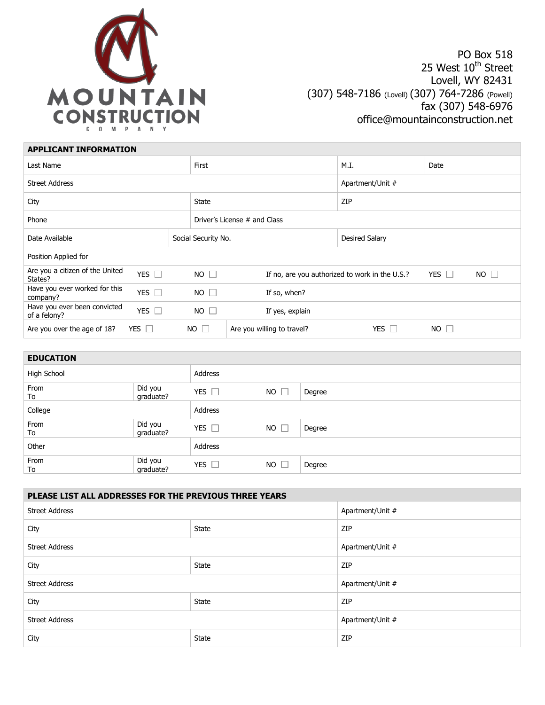

PO Box 518  $25$  West  $10<sup>th</sup>$  Street Lovell, WY 82431 (307) 548-7186 (Lovell) (307) 764-7286 (Powell) fax (307) 548-6976 office@mountainconstruction.net

| <b>APPLICANT INFORMATION</b>                 |                            |                     |                            |                                                |                      |           |
|----------------------------------------------|----------------------------|---------------------|----------------------------|------------------------------------------------|----------------------|-----------|
| Last Name                                    |                            | First               |                            | M.I.<br>Date                                   |                      |           |
| <b>Street Address</b>                        |                            |                     |                            | Apartment/Unit #                               |                      |           |
| City                                         |                            | <b>State</b>        |                            | ZIP                                            |                      |           |
| Phone<br>Driver's License # and Class        |                            |                     |                            |                                                |                      |           |
| Date Available                               |                            | Social Security No. |                            | <b>Desired Salary</b>                          |                      |           |
| Position Applied for                         |                            |                     |                            |                                                |                      |           |
| Are you a citizen of the United<br>States?   | <b>YES</b><br>$\mathbf{I}$ | $NO \Box$           |                            | If no, are you authorized to work in the U.S.? | <b>YES</b><br>$\Box$ | $NO \Box$ |
| Have you ever worked for this<br>company?    | YES<br>$\mathbf{1}$        | $NO$ $\Box$         | If so, when?               |                                                |                      |           |
| Have you ever been convicted<br>of a felony? | <b>YES</b><br>$\mathbf{L}$ | <b>NO</b><br>$\Box$ | If yes, explain            |                                                |                      |           |
| Are you over the age of 18?                  | YES $\Box$                 | $NO$ $\Box$         | Are you willing to travel? | YES $\Box$                                     | $NO$ $\Box$          |           |

| <b>EDUCATION</b> |                      |               |                |        |
|------------------|----------------------|---------------|----------------|--------|
| High School      |                      | Address       |                |        |
| From<br>To       | Did you<br>qraduate? | YES $\Box$    | NO<br>L        | Degree |
| College          |                      | Address       |                |        |
| From<br>To       | Did you<br>qraduate? | YES $\square$ | Ē<br><b>NO</b> | Degree |
| Other            |                      | Address       |                |        |
| From<br>To       | Did you<br>graduate? | YES $\Box$    | NO             | Degree |

| PLEASE LIST ALL ADDRESSES FOR THE PREVIOUS THREE YEARS |                  |                  |  |  |  |
|--------------------------------------------------------|------------------|------------------|--|--|--|
| <b>Street Address</b>                                  | Apartment/Unit # |                  |  |  |  |
| City<br>State                                          |                  | <b>ZIP</b>       |  |  |  |
| <b>Street Address</b>                                  | Apartment/Unit # |                  |  |  |  |
| City                                                   | State            | <b>ZIP</b>       |  |  |  |
| <b>Street Address</b>                                  | Apartment/Unit # |                  |  |  |  |
| City<br><b>State</b>                                   |                  | <b>ZIP</b>       |  |  |  |
| <b>Street Address</b>                                  |                  | Apartment/Unit # |  |  |  |
| City                                                   | <b>State</b>     | ZIP              |  |  |  |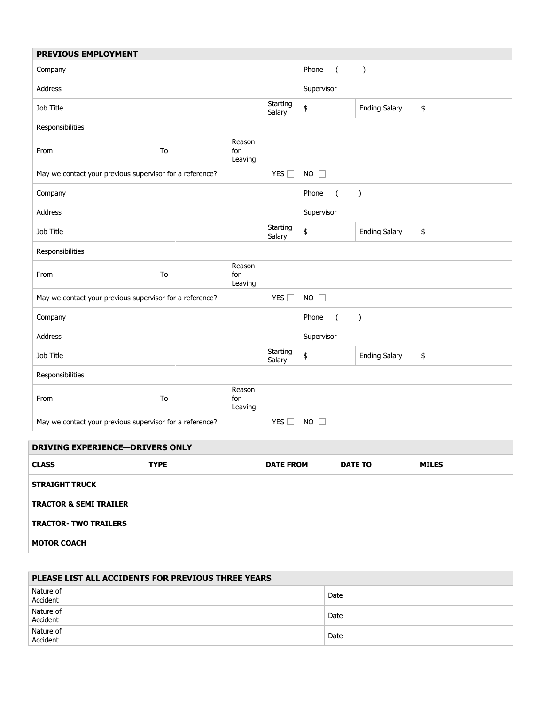| PREVIOUS EMPLOYMENT                                      |    |                          |                    |             |                  |                      |    |
|----------------------------------------------------------|----|--------------------------|--------------------|-------------|------------------|----------------------|----|
| Company                                                  |    |                          |                    | Phone       | $\left($         | $\lambda$            |    |
| Address                                                  |    |                          |                    | Supervisor  |                  |                      |    |
| Starting<br>Job Title<br>Salary                          |    |                          |                    | \$          |                  | <b>Ending Salary</b> | \$ |
| Responsibilities                                         |    |                          |                    |             |                  |                      |    |
| From                                                     | To | Reason<br>for<br>Leaving |                    |             |                  |                      |    |
| May we contact your previous supervisor for a reference? |    |                          | YES $\Box$         | $NO$ $\Box$ |                  |                      |    |
| Company                                                  |    |                          |                    | Phone       | $\overline{(\ }$ | $\lambda$            |    |
| Address                                                  |    |                          |                    | Supervisor  |                  |                      |    |
| Job Title                                                |    |                          | Starting<br>Salary | \$          |                  | <b>Ending Salary</b> | \$ |
| Responsibilities                                         |    |                          |                    |             |                  |                      |    |
| From                                                     | To | Reason<br>for<br>Leaving |                    |             |                  |                      |    |
| May we contact your previous supervisor for a reference? |    |                          | YES $\square$      | $NO$ $\Box$ |                  |                      |    |
| Company                                                  |    |                          |                    | Phone       | $\overline{(\ }$ | $\lambda$            |    |
| Address                                                  |    |                          |                    | Supervisor  |                  |                      |    |
| Job Title                                                |    |                          | Starting<br>Salary | \$          |                  | <b>Ending Salary</b> | \$ |
| Responsibilities                                         |    |                          |                    |             |                  |                      |    |
| From                                                     | To | Reason<br>for<br>Leaving |                    |             |                  |                      |    |
| May we contact your previous supervisor for a reference? |    |                          | YES $\Box$         | $NO$ $\Box$ |                  |                      |    |

| <b>DRIVING EXPERIENCE-DRIVERS ONLY</b> |             |                  |                |              |  |
|----------------------------------------|-------------|------------------|----------------|--------------|--|
| <b>CLASS</b>                           | <b>TYPE</b> | <b>DATE FROM</b> | <b>DATE TO</b> | <b>MILES</b> |  |
| <b>STRAIGHT TRUCK</b>                  |             |                  |                |              |  |
| <b>TRACTOR &amp; SEMI TRAILER</b>      |             |                  |                |              |  |
| <b>TRACTOR- TWO TRAILERS</b>           |             |                  |                |              |  |
| <b>MOTOR COACH</b>                     |             |                  |                |              |  |

| <b>PLEASE LIST ALL ACCIDENTS FOR PREVIOUS THREE YEARS</b> |      |  |  |  |
|-----------------------------------------------------------|------|--|--|--|
| Nature of<br>Accident                                     | Date |  |  |  |
| Nature of<br>Accident                                     | Date |  |  |  |
| Nature of<br>Accident                                     | Date |  |  |  |